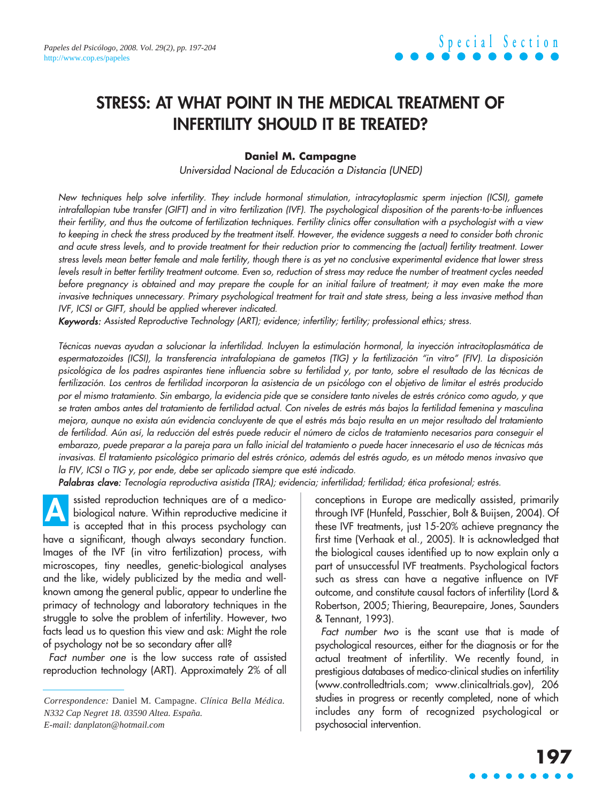# **STRESS: AT WHAT POINT IN THE MEDICAL TREATMENT OF INFERTILITY SHOULD IT BE TREATED?**

### **Daniel M. Campagne**

Universidad Nacional de Educación a Distancia (UNED)

New techniques help solve infertility. They include hormonal stimulation, intracytoplasmic sperm injection (ICSI), gamete intrafallopian tube transfer (GIFT) and in vitro fertilization (IVF). The psychological disposition of the parents-to-be influences their fertility, and thus the outcome of fertilization techniques. Fertility clinics offer consultation with a psychologist with a view to keeping in check the stress produced by the treatment itself. However, the evidence suggests a need to consider both chronic and acute stress levels, and to provide treatment for their reduction prior to commencing the (actual) fertility treatment. Lower stress levels mean better female and male fertility, though there is as yet no conclusive experimental evidence that lower stress levels result in better fertility treatment outcome. Even so, reduction of stress may reduce the number of treatment cycles needed before pregnancy is obtained and may prepare the couple for an initial failure of treatment; it may even make the more invasive techniques unnecessary. Primary psychological treatment for trait and state stress, being a less invasive method than IVF, ICSI or GIFT, should be applied wherever indicated.

Keywords: Assisted Reproductive Technology (ART); evidence; infertility; fertility; professional ethics; stress.

Técnicas nuevas ayudan a solucionar la infertilidad. Incluyen la estimulación hormonal, la inyección intracitoplasmática de espermatozoides (ICSI), la transferencia intrafalopiana de gametos (TIG) y la fertilización "in vitro" (FIV). La disposición psicológica de los padres aspirantes tiene influencia sobre su fertilidad y, por tanto, sobre el resultado de las técnicas de fertilización. Los centros de fertilidad incorporan la asistencia de un psicólogo con el objetivo de limitar el estrés producido por el mismo tratamiento. Sin embargo, la evidencia pide que se considere tanto niveles de estrés crónico como agudo, y que se traten ambos antes del tratamiento de fertilidad actual. Con niveles de estrés más bajos la fertilidad femenina y masculina mejora, aunque no exista aún evidencia concluyente de que el estrés más bajo resulta en un mejor resultado del tratamiento de fertilidad. Aún así, la reducción del estrés puede reducir el número de ciclos de tratamiento necesarios para conseguir el embarazo, puede preparar a la pareja para un fallo inicial del tratamiento o puede hacer innecesario el uso de técnicas más invasivas. El tratamiento psicológico primario del estrés crónico, además del estrés agudo, es un método menos invasivo que la FIV, ICSI o TIG y, por ende, debe ser aplicado siempre que esté indicado.

Palabras clave: Tecnología reproductiva asistida (TRA); evidencia; infertilidad; fertilidad; ética profesional; estrés.

ssisted reproduction techniques are of a medicobiological nature. Within reproductive medicine it is accepted that in this process psychology can have a significant, though always secondary function. Images of the IVF (in vitro fertilization) process, with microscopes, tiny needles, genetic-biological analyses and the like, widely publicized by the media and wellknown among the general public, appear to underline the primacy of technology and laboratory techniques in the struggle to solve the problem of infertility. However, two facts lead us to question this view and ask: Might the role of psychology not be so secondary after all? **A**

Fact number one is the low success rate of assisted reproduction technology (ART). Approximately 2% of all conceptions in Europe are medically assisted, primarily through IVF (Hunfeld, Passchier, Bolt & Buijsen, 2004). Of these IVF treatments, just 15-20% achieve pregnancy the first time (Verhaak et al., 2005). It is acknowledged that the biological causes identified up to now explain only a part of unsuccessful IVF treatments. Psychological factors such as stress can have a negative influence on IVF outcome, and constitute causal factors of infertility (Lord & Robertson, 2005; Thiering, Beaurepaire, Jones, Saunders & Tennant, 1993).

Fact number two is the scant use that is made of psychological resources, either for the diagnosis or for the actual treatment of infertility. We recently found, in prestigious databases of medico-clinical studies on infertility (www.controlledtrials.com; www.clinicaltrials.gov), 206 studies in progress or recently completed, none of which includes any form of recognized psychological or psychosocial intervention.

*Correspondence:* Daniel M. Campagne. *Clínica Bella Médica. N332 Cap Negret 18. 03590 Altea. España. E-mail: danplaton@hotmail.com*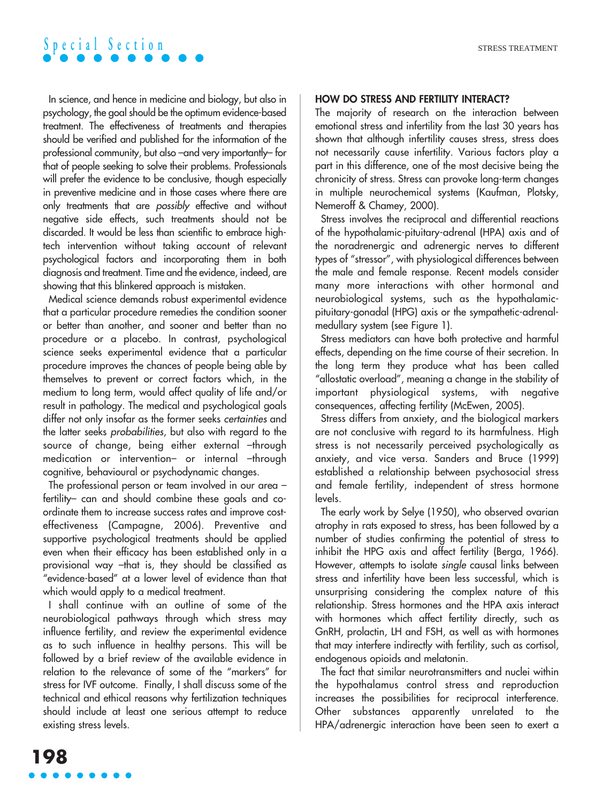In science, and hence in medicine and biology, but also in psychology, the goal should be the optimum evidence-based treatment. The effectiveness of treatments and therapies should be verified and published for the information of the professional community, but also –and very importantly– for that of people seeking to solve their problems. Professionals will prefer the evidence to be conclusive, though especially in preventive medicine and in those cases where there are only treatments that are possibly effective and without negative side effects, such treatments should not be discarded. It would be less than scientific to embrace hightech intervention without taking account of relevant psychological factors and incorporating them in both diagnosis and treatment. Time and the evidence, indeed, are showing that this blinkered approach is mistaken.

Medical science demands robust experimental evidence that a particular procedure remedies the condition sooner or better than another, and sooner and better than no procedure or a placebo. In contrast, psychological science seeks experimental evidence that a particular procedure improves the chances of people being able by themselves to prevent or correct factors which, in the medium to long term, would affect quality of life and/or result in pathology. The medical and psychological goals differ not only insofar as the former seeks certainties and the latter seeks probabilities, but also with regard to the source of change, being either external -through medication or intervention- or internal -through cognitive, behavioural or psychodynamic changes.

The professional person or team involved in our area – fertility– can and should combine these goals and coordinate them to increase success rates and improve costeffectiveness (Campagne, 2006). Preventive and supportive psychological treatments should be applied even when their efficacy has been established only in a provisional way –that is, they should be classified as "evidence-based" at a lower level of evidence than that which would apply to a medical treatment.

I shall continue with an outline of some of the neurobiological pathways through which stress may influence fertility, and review the experimental evidence as to such influence in healthy persons. This will be followed by a brief review of the available evidence in relation to the relevance of some of the "markers" for stress for IVF outcome. Finally, I shall discuss some of the technical and ethical reasons why fertilization techniques should include at least one serious attempt to reduce existing stress levels.

### **HOW DO STRESS AND FERTILITY INTERACT?**

The majority of research on the interaction between emotional stress and infertility from the last 30 years has shown that although infertility causes stress, stress does not necessarily cause infertility. Various factors play a part in this difference, one of the most decisive being the chronicity of stress. Stress can provoke long-term changes in multiple neurochemical systems (Kaufman, Plotsky, Nemeroff & Chamey, 2000).

Stress involves the reciprocal and differential reactions of the hypothalamic-pituitary-adrenal (HPA) axis and of the noradrenergic and adrenergic nerves to different types of "stressor", with physiological differences between the male and female response. Recent models consider many more interactions with other hormonal and neurobiological systems, such as the hypothalamicpituitary-gonadal (HPG) axis or the sympathetic-adrenalmedullary system (see Figure 1).

Stress mediators can have both protective and harmful effects, depending on the time course of their secretion. In the long term they produce what has been called "allostatic overload", meaning a change in the stability of important physiological systems, with negative consequences, affecting fertility (McEwen, 2005).

Stress differs from anxiety, and the biological markers are not conclusive with regard to its harmfulness. High stress is not necessarily perceived psychologically as anxiety, and vice versa. Sanders and Bruce (1999) established a relationship between psychosocial stress and female fertility, independent of stress hormone levels.

The early work by Selye (1950), who observed ovarian atrophy in rats exposed to stress, has been followed by a number of studies confirming the potential of stress to inhibit the HPG axis and affect fertility (Berga, 1966). However, attempts to isolate single causal links between stress and infertility have been less successful, which is unsurprising considering the complex nature of this relationship. Stress hormones and the HPA axis interact with hormones which affect fertility directly, such as GnRH, prolactin, LH and FSH, as well as with hormones that may interfere indirectly with fertility, such as cortisol, endogenous opioids and melatonin.

The fact that similar neurotransmitters and nuclei within the hypothalamus control stress and reproduction increases the possibilities for reciprocal interference. Other substances apparently unrelated to the HPA/adrenergic interaction have been seen to exert a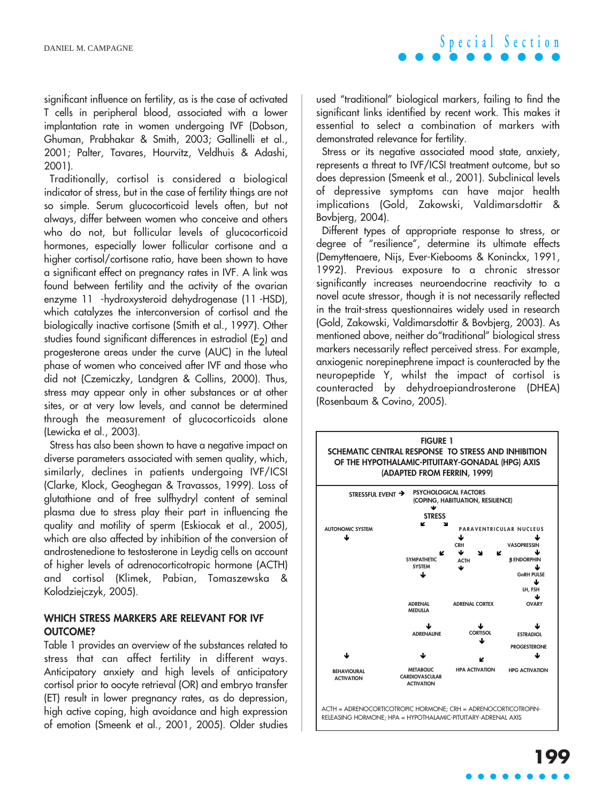significant influence on fertility, as is the case of activated T cells in peripheral blood, associated with a lower implantation rate in women undergoing IVF (Dobson, Ghuman, Prabhakar & Smith, 2003; Gallinelli et al., 2001; Palter, Tavares, Hourvitz, Veldhuis & Adashi, 2001).

Traditionally, cortisol is considered a biological indicator of stress, but in the case of fertility things are not so simple. Serum glucocorticoid levels often, but not always, differ between women who conceive and others who do not, but follicular levels of glucocorticoid hormones, especially lower follicular cortisone and a higher cortisol/cortisone ratio, have been shown to have a significant effect on pregnancy rates in IVF. A link was found between fertility and the activity of the ovarian enzyme 11 -hydroxysteroid dehydrogenase (11 -HSD), which catalyzes the interconversion of cortisol and the biologically inactive cortisone (Smith et al., 1997). Other studies found significant differences in estradiol  $(E<sub>2</sub>)$  and progesterone areas under the curve (AUC) in the luteal phase of women who conceived after IVF and those who did not (Czemiczky, Landgren & Collins, 2000). Thus, stress may appear only in other substances or at other sites, or at very low levels, and cannot be determined through the measurement of glucocorticoids alone (Lewicka et al., 2003).

Stress has also been shown to have a negative impact on diverse parameters associated with semen quality, which, similarly, declines in patients undergoing IVF/ICSI (Clarke, Klock, Geoghegan & Travassos, 1999). Loss of glutathione and of free sulfhydryl content of seminal plasma due to stress play their part in influencing the quality and motility of sperm (Eskiocak et al., 2005), which are also affected by inhibition of the conversion of androstenedione to testosterone in Leydig cells on account of higher levels of adrenocorticotropic hormone (ACTH) and cortisol (Klimek, Pabian, Tomaszewska & Kolodziejczyk, 2005).

### **WHICH STRESS MARKERS ARE RELEVANT FOR IVF OUTCOME?**

Table 1 provides an overview of the substances related to stress that can affect fertility in different ways. Anticipatory anxiety and high levels of anticipatory cortisol prior to oocyte retrieval (OR) and embryo transfer (ET) result in lower pregnancy rates, as do depression, high active coping, high avoidance and high expression of emotion (Smeenk et al., 2001, 2005). Older studies used "traditional" biological markers, failing to find the significant links identified by recent work. This makes it essential to select a combination of markers with demonstrated relevance for fertility.

Stress or its negative associated mood state, anxiety, represents a threat to IVF/ICSI treatment outcome, but so does depression (Smeenk et al., 2001). Subclinical levels of depressive symptoms can have major health implications (Gold, Zakowski, Valdimarsdottir & Bovbjerg, 2004).

Different types of appropriate response to stress, or degree of "resilience", determine its ultimate effects (Demyttenaere, Nijs, Ever-Kiebooms & Koninckx, 1991, 1992). Previous exposure to a chronic stressor significantly increases neuroendocrine reactivity to a novel acute stressor, though it is not necessarily reflected in the trait-stress questionnaires widely used in research (Gold, Zakowski, Valdimarsdottir & Bovbjerg, 2003). As mentioned above, neither do"traditional" biological stress markers necessarily reflect perceived stress. For example, anxiogenic norepinephrene impact is counteracted by the neuropeptide Y, whilst the impact of cortisol is counteracted by dehydroepiandrosterone (DHEA) (Rosenbaum & Covino, 2005).

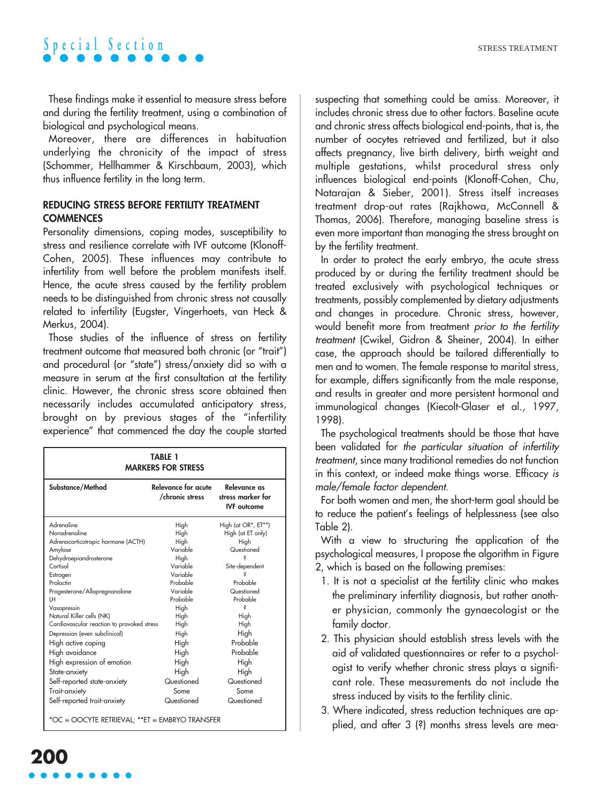These findings make it essential to measure stress before and during the fertility treatment, using a combination of biological and psychological means.

Moreover, there are differences in habituation underlying the chronicity of the impact of stress (Schommer, Hellhammer & Kirschbaum, 2003), which thus influence fertility in the long term.

### **REDUCING STRESS BEFORE FERTILITY TREATMENT COMMENCES**

Personality dimensions, coping modes, susceptibility to stress and resilience correlate with IVF outcome (Klonoff-Cohen, 2005). These influences may contribute to infertility from well before the problem manifests itself. Hence, the acute stress caused by the fertility problem needs to be distinguished from chronic stress not causally related to infertility (Eugster, Vingerhoets, van Heck & Merkus, 2004).

Those studies of the influence of stress on fertility treatment outcome that measured both chronic (or "trait") and procedural (or "state") stress/anxiety did so with a measure in serum at the first consultation at the fertility clinic. However, the chronic stress score obtained then necessarily includes accumulated anticipatory stress, brought on by previous stages of the "infertility experience" that commenced the day the couple started

| <b>TABLE 1</b><br><b>MARKERS FOR STRESS</b>     |                                        |                                                         |
|-------------------------------------------------|----------------------------------------|---------------------------------------------------------|
| Substance/Method                                | Relevance for acute<br>/chronic stress | Relevance as<br>stress marker for<br><b>IVF</b> outcome |
| Adrenaline                                      | High                                   | High (at OR*, ET**)                                     |
| Noradrenaline                                   | High                                   | High (at ET only)                                       |
| Adrenocorticotropic hormone (ACTH)              | High                                   | High                                                    |
| Amylase                                         | Variable                               | Questioned                                              |
| Dehydroepiandrosterone<br>Cortisol              | High<br>Variable                       |                                                         |
|                                                 | Variable                               | Site-dependent                                          |
| Estrogen<br>Prolactin                           | Probable                               | Probable                                                |
| Progesterone/Allopregnanolone                   | Variable                               | Questioned                                              |
| LH                                              | Probable                               | Probable                                                |
| Vasopressin                                     | High                                   | S                                                       |
| Natural Killer cells (NK)                       | High                                   | High                                                    |
| Cardiovascular reaction to provoked stress      | High                                   | High                                                    |
| Depression (even subclinical)                   | High                                   | High                                                    |
| High active coping                              | High                                   | Probable                                                |
| High avoidance                                  | High                                   | Probable                                                |
| High expression of emotion                      | High                                   | High                                                    |
| State-anxiety                                   | High                                   | High                                                    |
| Self-reported state-anxiety                     | Questioned                             | Questioned                                              |
| Trait-anxiety                                   | Some                                   | Some                                                    |
|                                                 | Questioned                             | Questioned                                              |
| Self-reported trait-anxiety                     |                                        |                                                         |
| *OC = OOCYTE RETRIEVAL; ** ET = EMBRYO TRANSFER |                                        |                                                         |

suspecting that something could be amiss. Moreover, it includes chronic stress due to other factors. Baseline acute and chronic stress affects biological end-points, that is, the number of oocytes retrieved and fertilized, but it also affects pregnancy, live birth delivery, birth weight and multiple gestations, whilst procedural stress only influences biological end-points (Klonoff-Cohen, Chu, Natarajan & Sieber, 2001). Stress itself increases treatment drop-out rates (Rajkhowa, McConnell & Thomas, 2006). Therefore, managing baseline stress is even more important than managing the stress brought on by the fertility treatment.

In order to protect the early embryo, the acute stress produced by or during the fertility treatment should be treated exclusively with psychological techniques or treatments, possibly complemented by dietary adjustments and changes in procedure. Chronic stress, however, would benefit more from treatment prior to the fertility treatment (Cwikel, Gidron & Sheiner, 2004). In either case, the approach should be tailored differentially to men and to women. The female response to marital stress, for example, differs significantly from the male response, and results in greater and more persistent hormonal and immunological changes (Kiecolt-Glaser et al., 1997, 1998).

The psychological treatments should be those that have been validated for the particular situation of infertility treatment, since many traditional remedies do not function in this context, or indeed make things worse. Efficacy is male/female factor dependent.

For both women and men, the short-term goal should be to reduce the patient's feelings of helplessness (see also Table 2).

With a view to structuring the application of the psychological measures, I propose the algorithm in Figure 2, which is based on the following premises:

- 1. It is not a specialist at the fertility clinic who makes the preliminary infertility diagnosis, but rather another physician, commonly the gynaecologist or the family doctor.
- 2. This physician should establish stress levels with the aid of validated questionnaires or refer to a psychologist to verify whether chronic stress plays a significant role. These measurements do not include the stress induced by visits to the fertility clinic.
- 3. Where indicated, stress reduction techniques are applied, and after 3 (?) months stress levels are mea-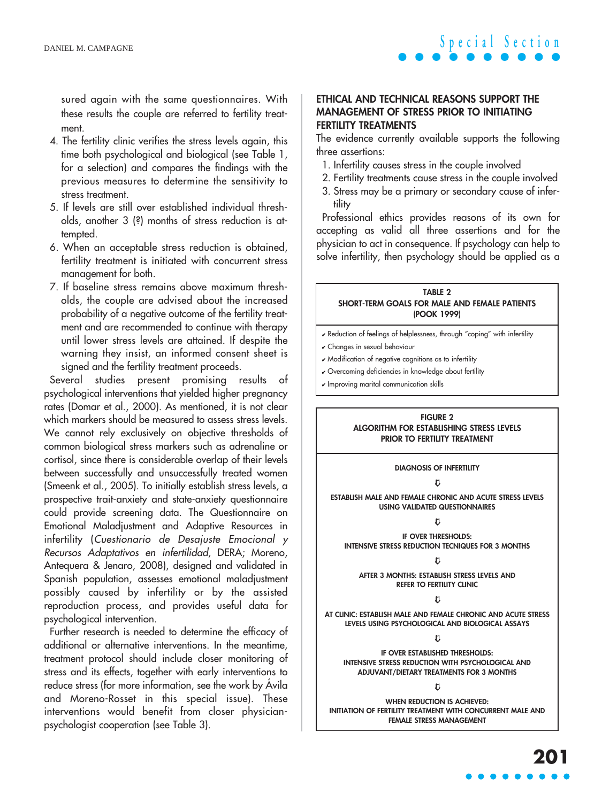sured again with the same questionnaires. With these results the couple are referred to fertility treatment.

- 4. The fertility clinic verifies the stress levels again, this time both psychological and biological (see Table 1, for a selection) and compares the findings with the previous measures to determine the sensitivity to stress treatment.
- 5. If levels are still over established individual thresholds, another 3 (?) months of stress reduction is attempted.
- 6. When an acceptable stress reduction is obtained, fertility treatment is initiated with concurrent stress management for both.
- 7. If baseline stress remains above maximum thresholds, the couple are advised about the increased probability of a negative outcome of the fertility treatment and are recommended to continue with therapy until lower stress levels are attained. If despite the warning they insist, an informed consent sheet is signed and the fertility treatment proceeds.

Several studies present promising results of psychological interventions that yielded higher pregnancy rates (Domar et al., 2000). As mentioned, it is not clear which markers should be measured to assess stress levels. We cannot rely exclusively on objective thresholds of common biological stress markers such as adrenaline or cortisol, since there is considerable overlap of their levels between successfully and unsuccessfully treated women (Smeenk et al., 2005). To initially establish stress levels, a prospective trait-anxiety and state-anxiety questionnaire could provide screening data. The Questionnaire on Emotional Maladjustment and Adaptive Resources in infertility (Cuestionario de Desajuste Emocional y Recursos Adaptativos en infertilidad, DERA; Moreno, Antequera & Jenaro, 2008), designed and validated in Spanish population, assesses emotional maladjustment possibly caused by infertility or by the assisted reproduction process, and provides useful data for psychological intervention.

Further research is needed to determine the efficacy of additional or alternative interventions. In the meantime, treatment protocol should include closer monitoring of stress and its effects, together with early interventions to reduce stress (for more information, see the work by Ávila and Moreno-Rosset in this special issue). These interventions would benefit from closer physicianpsychologist cooperation (see Table 3).

### **ETHICAL AND TECHNICAL REASONS SUPPORT THE MANAGEMENT OF STRESS PRIOR TO INITIATING FERTILITY TREATMENTS**

The evidence currently available supports the following three assertions:

- 1. Infertility causes stress in the couple involved
- 2. Fertility treatments cause stress in the couple involved
- 3. Stress may be a primary or secondary cause of infertility

Professional ethics provides reasons of its own for accepting as valid all three assertions and for the physician to act in consequence. If psychology can help to solve infertility, then psychology should be applied as a

#### **TABLE 2 SHORT-TERM GOALS FOR MALE AND FEMALE PATIENTS (POOK 1999)**

- ✔ Reduction of feelings of helplessness, through "coping" with infertility
- ✔ Changes in sexual behaviour
- ✔ Modification of negative cognitions as to infertility
- ✔ Overcoming deficiencies in knowledge about fertility
- $\nu$  Improving marital communication skills

#### **FIGURE 2 ALGORITHM FOR ESTABLISHING STRESS LEVELS PRIOR TO FERTILITY TREATMENT**

**DIAGNOSIS OF INFERTILITY**

#### $\mathsf{M}$

**ESTABLISH MALE AND FEMALE CHRONIC AND ACUTE STRESS LEVELS USING VALIDATED QUESTIONNAIRES**

#### $\mathsf{n}$

**IF OVER THRESHOLDS: INTENSIVE STRESS REDUCTION TECNIQUES FOR 3 MONTHS**

➯

**AFTER 3 MONTHS: ESTABLISH STRESS LEVELS AND REFER TO FERTILITY CLINIC**

#### $\mathsf{m}$

**AT CLINIC: ESTABLISH MALE AND FEMALE CHRONIC AND ACUTE STRESS LEVELS USING PSYCHOLOGICAL AND BIOLOGICAL ASSAYS**

 $\mathfrak n$ 

**IF OVER ESTABLISHED THRESHOLDS: INTENSIVE STRESS REDUCTION WITH PSYCHOLOGICAL AND ADJUVANT/DIETARY TREATMENTS FOR 3 MONTHS** 

 $\mathfrak n$ 

**WHEN REDUCTION IS ACHIEVED: INITIATION OF FERTILITY TREATMENT WITH CONCURRENT MALE AND FEMALE STRESS MANAGEMENT**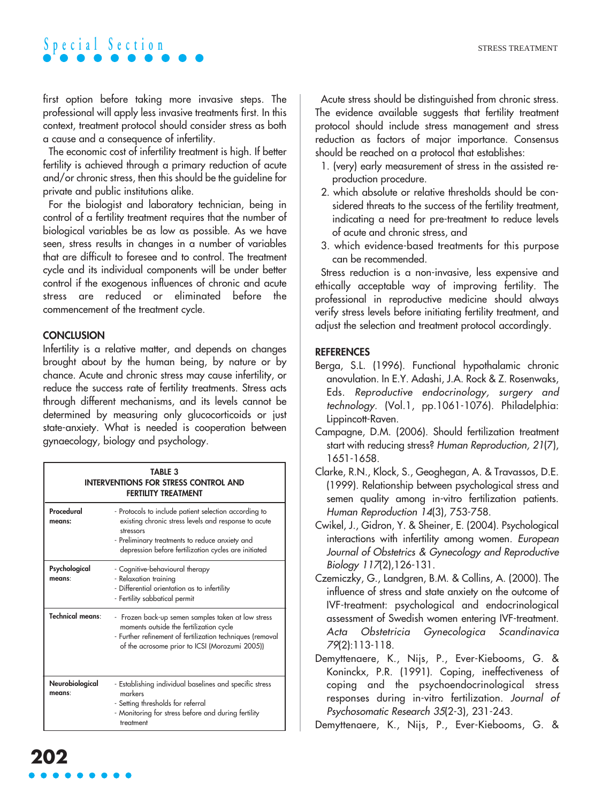first option before taking more invasive steps. The professional will apply less invasive treatments first. In this context, treatment protocol should consider stress as both a cause and a consequence of infertility.

The economic cost of infertility treatment is high. If better fertility is achieved through a primary reduction of acute and/or chronic stress, then this should be the guideline for private and public institutions alike.

For the biologist and laboratory technician, being in control of a fertility treatment requires that the number of biological variables be as low as possible. As we have seen, stress results in changes in a number of variables that are difficult to foresee and to control. The treatment cycle and its individual components will be under better control if the exogenous influences of chronic and acute stress are reduced or eliminated before the commencement of the treatment cycle.

## **CONCLUSION**

Infertility is a relative matter, and depends on changes brought about by the human being, by nature or by chance. Acute and chronic stress may cause infertility, or reduce the success rate of fertility treatments. Stress acts through different mechanisms, and its levels cannot be determined by measuring only glucocorticoids or just state-anxiety. What is needed is cooperation between gynaecology, biology and psychology.

| <b>TABLE 3</b><br><b>INTERVENTIONS FOR STRESS CONTROL AND</b><br><b>FERTILITY TREATMENT</b> |                                                                                                                                                                                                                                      |  |
|---------------------------------------------------------------------------------------------|--------------------------------------------------------------------------------------------------------------------------------------------------------------------------------------------------------------------------------------|--|
| Procedural<br>means:                                                                        | - Protocols to include patient selection according to<br>existing chronic stress levels and response to acute<br>stressors<br>- Preliminary treatments to reduce anxiety and<br>depression before fertilization cycles are initiated |  |
| Psychological<br>means:                                                                     | - Cognitive-behavioural therapy<br>- Relaxation training<br>- Differential orientation as to infertility<br>- Fertility sabbatical permit                                                                                            |  |
| Technical means:                                                                            | - Frozen back-up semen samples taken at low stress<br>moments outside the fertilization cycle<br>- Further refinement of fertilization techniques (removal<br>of the acrosome prior to ICSI (Morozumi 2005))                         |  |
| Neurobiological<br>means:                                                                   | - Establishing individual baselines and specific stress<br>markers<br>- Setting thresholds for referral<br>- Monitoring for stress before and during fertility<br>treatment                                                          |  |

Acute stress should be distinguished from chronic stress. The evidence available suggests that fertility treatment protocol should include stress management and stress reduction as factors of major importance. Consensus should be reached on a protocol that establishes:

- 1. (very) early measurement of stress in the assisted reproduction procedure.
- 2. which absolute or relative thresholds should be considered threats to the success of the fertility treatment, indicating a need for pre-treatment to reduce levels of acute and chronic stress, and
- 3. which evidence-based treatments for this purpose can be recommended.

Stress reduction is a non-invasive, less expensive and ethically acceptable way of improving fertility. The professional in reproductive medicine should always verify stress levels before initiating fertility treatment, and adjust the selection and treatment protocol accordingly.

## **REFERENCES**

- Berga, S.L. (1996). Functional hypothalamic chronic anovulation. In E.Y. Adashi, J.A. Rock & Z. Rosenwaks, Eds. Reproductive endocrinology, surgery and technology. (Vol.1, pp.1061-1076). Philadelphia: Lippincott-Raven.
- Campagne, D.M. (2006). Should fertilization treatment start with reducing stress? Human Reproduction, 21(7), 1651-1658.
- Clarke, R.N., Klock, S., Geoghegan, A. & Travassos, D.E. (1999). Relationship between psychological stress and semen quality among in-vitro fertilization patients. Human Reproduction 14(3), 753-758.
- Cwikel, J., Gidron, Y. & Sheiner, E. (2004). Psychological interactions with infertility among women. European Journal of Obstetrics & Gynecology and Reproductive Biology 117(2),126-131.
- Czemiczky, G., Landgren, B.M. & Collins, A. (2000). The influence of stress and state anxiety on the outcome of IVF-treatment: psychological and endocrinological assessment of Swedish women entering IVF-treatment. Acta Obstetricia Gynecologica Scandinavica 79(2):113-118.
- Demyttenaere, K., Nijs, P., Ever-Kiebooms, G. & Koninckx, P.R. (1991). Coping, ineffectiveness of coping and the psychoendocrinological stress responses during in-vitro fertilization. Journal of Psychosomatic Research 35(2-3), 231-243.

Demyttenaere, K., Nijs, P., Ever-Kiebooms, G. &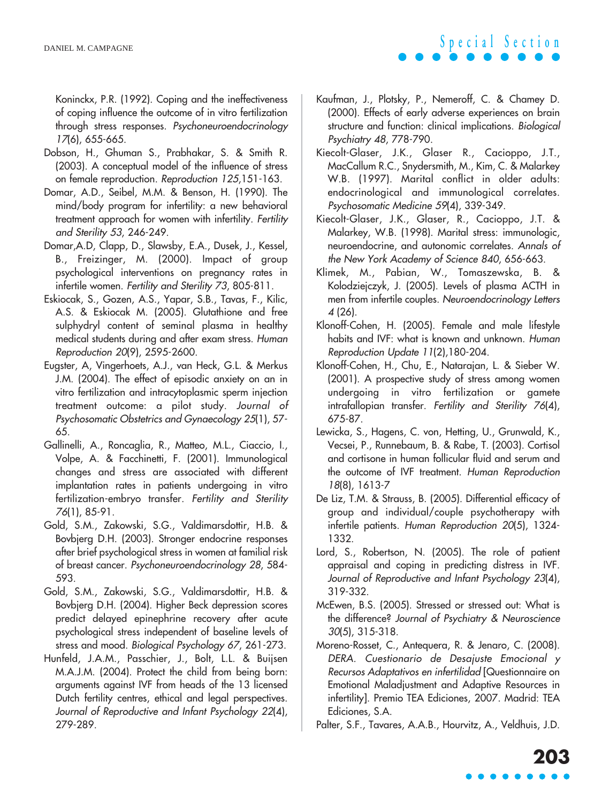Koninckx, P.R. (1992). Coping and the ineffectiveness of coping influence the outcome of in vitro fertilization through stress responses. Psychoneuroendocrinology 17(6), 655-665.

- Dobson, H., Ghuman S., Prabhakar, S. & Smith R. (2003). A conceptual model of the influence of stress on female reproduction. Reproduction 125,151-163.
- Domar, A.D., Seibel, M.M. & Benson, H. (1990). The mind/body program for infertility: a new behavioral treatment approach for women with infertility. Fertility and Sterility 53, 246-249.
- Domar,A.D, Clapp, D., Slawsby, E.A., Dusek, J., Kessel, B., Freizinger, M. (2000). Impact of group psychological interventions on pregnancy rates in infertile women. Fertility and Sterility 73, 805-811.
- Eskiocak, S., Gozen, A.S., Yapar, S.B., Tavas, F., Kilic, A.S. & Eskiocak M. (2005). Glutathione and free sulphydryl content of seminal plasma in healthy medical students during and after exam stress. Human Reproduction 20(9), 2595-2600.
- Eugster, A, Vingerhoets, A.J., van Heck, G.L. & Merkus J.M. (2004). The effect of episodic anxiety on an in vitro fertilization and intracytoplasmic sperm injection treatment outcome: a pilot study. Journal of Psychosomatic Obstetrics and Gynaecology 25(1), 57- 65.
- Gallinelli, A., Roncaglia, R., Matteo, M.L., Ciaccio, I., Volpe, A. & Facchinetti, F. (2001). Immunological changes and stress are associated with different implantation rates in patients undergoing in vitro fertilization-embryo transfer. Fertility and Sterility 76(1), 85-91.
- Gold, S.M., Zakowski, S.G., Valdimarsdottir, H.B. & Bovbjerg D.H. (2003). Stronger endocrine responses after brief psychological stress in women at familial risk of breast cancer. Psychoneuroendocrinology 28, 584- 593.
- Gold, S.M., Zakowski, S.G., Valdimarsdottir, H.B. & Bovbjerg D.H. (2004). Higher Beck depression scores predict delayed epinephrine recovery after acute psychological stress independent of baseline levels of stress and mood. Biological Psychology 67, 261-273.
- Hunfeld, J.A.M., Passchier, J., Bolt, L.L. & Buijsen M.A.J.M. (2004). Protect the child from being born: arguments against IVF from heads of the 13 licensed Dutch fertility centres, ethical and legal perspectives. Journal of Reproductive and Infant Psychology 22(4), 279-289.
- Kaufman, J., Plotsky, P., Nemeroff, C. & Chamey D. (2000). Effects of early adverse experiences on brain structure and function: clinical implications. Biological Psychiatry 48, 778-790.
- Kiecolt-Glaser, J.K., Glaser R., Cacioppo, J.T., MacCallum R.C., Snydersmith, M., Kim, C. & Malarkey W.B. (1997). Marital conflict in older adults: endocrinological and immunological correlates. Psychosomatic Medicine 59(4), 339-349.
- Kiecolt-Glaser, J.K., Glaser, R., Cacioppo, J.T. & Malarkey, W.B. (1998). Marital stress: immunologic, neuroendocrine, and autonomic correlates. Annals of the New York Academy of Science 840, 656-663.
- Klimek, M., Pabian, W., Tomaszewska, B. & Kolodziejczyk, J. (2005). Levels of plasma ACTH in men from infertile couples. Neuroendocrinology Letters 4 (26).
- Klonoff-Cohen, H. (2005). Female and male lifestyle habits and IVF: what is known and unknown. Human Reproduction Update 11(2),180-204.
- Klonoff-Cohen, H., Chu, E., Natarajan, L. & Sieber W. (2001). A prospective study of stress among women undergoing in vitro fertilization or gamete intrafallopian transfer. Fertility and Sterility 76(4), 675-87.
- Lewicka, S., Hagens, C. von, Hetting, U., Grunwald, K., Vecsei, P., Runnebaum, B. & Rabe, T. (2003). Cortisol and cortisone in human follicular fluid and serum and the outcome of IVF treatment. Human Reproduction 18(8), 1613-7
- De Liz, T.M. & Strauss, B. (2005). Differential efficacy of group and individual/couple psychotherapy with infertile patients. Human Reproduction 20(5), 1324- 1332.
- Lord, S., Robertson, N. (2005). The role of patient appraisal and coping in predicting distress in IVF. Journal of Reproductive and Infant Psychology 23(4), 319-332.
- McEwen, B.S. (2005). Stressed or stressed out: What is the difference? Journal of Psychiatry & Neuroscience 30(5), 315-318.
- Moreno-Rosset, C., Antequera, R. & Jenaro, C. (2008). DERA. Cuestionario de Desajuste Emocional y Recursos Adaptativos en infertilidad [Questionnaire on Emotional Maladjustment and Adaptive Resources in infertility]. Premio TEA Ediciones, 2007. Madrid: TEA Ediciones, S.A.
- Palter, S.F., Tavares, A.A.B., Hourvitz, A., Veldhuis, J.D.